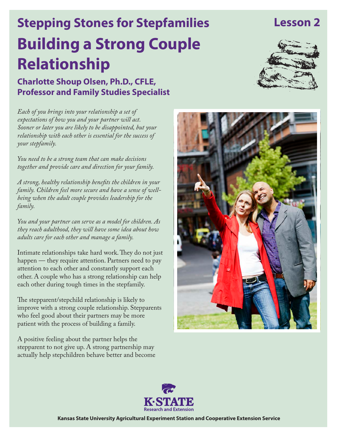## **Lesson 2**

# **Building a Strong Couple Relationship Stepping Stones for Stepfamilies**

**Charlotte Shoup Olsen, Ph.D., CFLE, Professor and Family Studies Specialist**



*Each of you brings into your relationship a set of expectations of how you and your partner will act. Sooner or later you are likely to be disappointed, but your relationship with each other is essential for the success of your stepfamily.*

*You need to be a strong team that can make decisions together and provide care and direction for your family.* 

*A strong, healthy relationship benefits the children in your family. Children feel more secure and have a sense of wellbeing when the adult couple provides leadership for the family.* 

*You and your partner can serve as a model for children. As they reach adulthood, they will have some idea about how adults care for each other and manage a family.*

Intimate relationships take hard work. They do not just happen — they require attention. Partners need to pay attention to each other and constantly support each other. A couple who has a strong relationship can help each other during tough times in the stepfamily.

The stepparent/stepchild relationship is likely to improve with a strong couple relationship. Stepparents who feel good about their partners may be more patient with the process of building a family.

A positive feeling about the partner helps the stepparent to not give up. A strong partnership may actually help stepchildren behave better and become





**Kansas State University Agricultural Experiment Station and Cooperative Extension Service**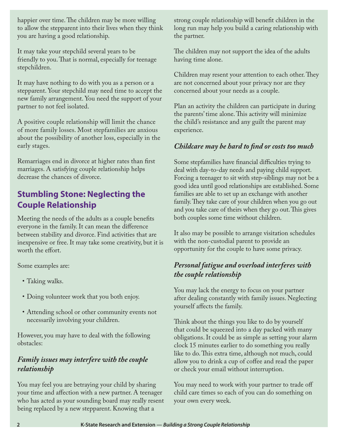happier over time. The children may be more willing to allow the stepparent into their lives when they think you are having a good relationship.

It may take your stepchild several years to be friendly to you. That is normal, especially for teenage stepchildren.

It may have nothing to do with you as a person or a stepparent. Your stepchild may need time to accept the new family arrangement. You need the support of your partner to not feel isolated.

A positive couple relationship will limit the chance of more family losses. Most stepfamilies are anxious about the possibility of another loss, especially in the early stages.

Remarriages end in divorce at higher rates than first marriages. A satisfying couple relationship helps decrease the chances of divorce.

#### **Stumbling Stone: Neglecting the Couple Relationship**

Meeting the needs of the adults as a couple benefits everyone in the family. It can mean the difference between stability and divorce. Find activities that are inexpensive or free. It may take some creativity, but it is worth the effort.

Some examples are:

- Taking walks.
- • Doing volunteer work that you both enjoy.
- Attending school or other community events not necessarily involving your children.

However, you may have to deal with the following obstacles:

#### *Family issues may interfere with the couple relationship*

You may feel you are betraying your child by sharing your time and affection with a new partner. A teenager who has acted as your sounding board may really resent being replaced by a new stepparent. Knowing that a

strong couple relationship will benefit children in the long run may help you build a caring relationship with the partner.

The children may not support the idea of the adults having time alone.

Children may resent your attention to each other. They are not concerned about your privacy nor are they concerned about your needs as a couple.

Plan an activity the children can participate in during the parents' time alone. This activity will minimize the child's resistance and any guilt the parent may experience.

#### *Childcare may be hard to find or costs too much*

Some stepfamilies have financial difficulties trying to deal with day-to-day needs and paying child support. Forcing a teenager to sit with step-siblings may not be a good idea until good relationships are established. Some families are able to set up an exchange with another family. They take care of your children when you go out and you take care of theirs when they go out. This gives both couples some time without children.

It also may be possible to arrange visitation schedules with the non-custodial parent to provide an opportunity for the couple to have some privacy.

#### *Personal fatigue and overload interferes with the couple relationship*

You may lack the energy to focus on your partner after dealing constantly with family issues. Neglecting yourself affects the family.

Think about the things you like to do by yourself that could be squeezed into a day packed with many obligations. It could be as simple as setting your alarm clock 15 minutes earlier to do something you really like to do. This extra time, although not much, could allow you to drink a cup of coffee and read the paper or check your email without interruption.

You may need to work with your partner to trade off child care times so each of you can do something on your own every week.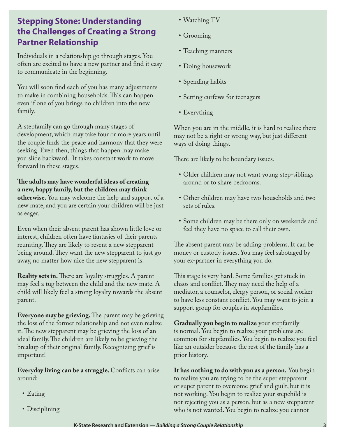#### **Stepping Stone: Understanding the Challenges of Creating a Strong Partner Relationship**

Individuals in a relationship go through stages. You often are excited to have a new partner and find it easy to communicate in the beginning.

You will soon find each of you has many adjustments to make in combining households. This can happen even if one of you brings no children into the new family.

A stepfamily can go through many stages of development, which may take four or more years until the couple finds the peace and harmony that they were seeking. Even then, things that happen may make you slide backward. It takes constant work to move forward in these stages.

**The adults may have wonderful ideas of creating a new, happy family, but the children may think otherwise.** You may welcome the help and support of a new mate, and you are certain your children will be just as eager.

Even when their absent parent has shown little love or interest, children often have fantasies of their parents reuniting. They are likely to resent a new stepparent being around. They want the new stepparent to just go away, no matter how nice the new stepparent is.

**Reality sets in.** There are loyalty struggles. A parent may feel a tug between the child and the new mate. A child will likely feel a strong loyalty towards the absent parent.

**Everyone may be grieving.** The parent may be grieving the loss of the former relationship and not even realize it. The new stepparent may be grieving the loss of an ideal family. The children are likely to be grieving the breakup of their original family. Recognizing grief is important!

**Everyday living can be a struggle.** Conflicts can arise around:

- • Eating
- Disciplining
- Watching TV
- Grooming
- Teaching manners
- Doing housework
- Spending habits
- Setting curfews for teenagers
- Everything

When you are in the middle, it is hard to realize there may not be a right or wrong way, but just different ways of doing things.

There are likely to be boundary issues.

- Older children may not want young step-siblings around or to share bedrooms.
- • Other children may have two households and two sets of rules.
- Some children may be there only on weekends and feel they have no space to call their own.

The absent parent may be adding problems. It can be money or custody issues. You may feel sabotaged by your ex-partner in everything you do.

This stage is very hard. Some families get stuck in chaos and conflict. They may need the help of a mediator, a counselor, clergy person, or social worker to have less constant conflict. You may want to join a support group for couples in stepfamilies.

**Gradually you begin to realize** your stepfamily is normal. You begin to realize your problems are common for stepfamilies. You begin to realize you feel like an outsider because the rest of the family has a prior history.

**It has nothing to do with you as a person.** You begin to realize you are trying to be the super stepparent or super parent to overcome grief and guilt, but it is not working. You begin to realize your stepchild is not rejecting you as a person, but as a new stepparent who is not wanted. You begin to realize you cannot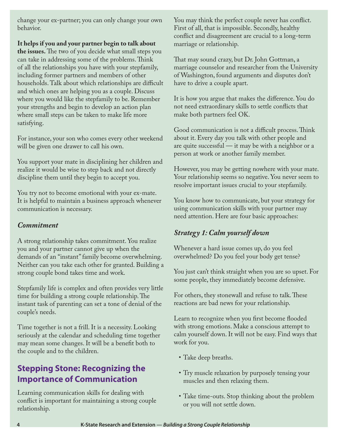change your ex-partner; you can only change your own behavior.

**It helps if you and your partner begin to talk about** 

**the issues.** The two of you decide what small steps you can take in addressing some of the problems. Think of all the relationships you have with your stepfamily, including former partners and members of other households. Talk about which relationships are difficult and which ones are helping you as a couple. Discuss where you would like the stepfamily to be. Remember your strengths and begin to develop an action plan where small steps can be taken to make life more satisfying.

For instance, your son who comes every other weekend will be given one drawer to call his own.

You support your mate in disciplining her children and realize it would be wise to step back and not directly discipline them until they begin to accept you.

You try not to become emotional with your ex-mate. It is helpful to maintain a business approach whenever communication is necessary.

#### *Commitment*

A strong relationship takes commitment. You realize you and your partner cannot give up when the demands of an "instant" family become overwhelming. Neither can you take each other for granted. Building a strong couple bond takes time and work.

Stepfamily life is complex and often provides very little time for building a strong couple relationship. The instant task of parenting can set a tone of denial of the couple's needs.

Time together is not a frill. It is a necessity. Looking seriously at the calendar and scheduling time together may mean some changes. It will be a benefit both to the couple and to the children.

#### **Stepping Stone: Recognizing the Importance of Communication**

Learning communication skills for dealing with conflict is important for maintaining a strong couple relationship.

You may think the perfect couple never has conflict. First of all, that is impossible. Secondly, healthy conflict and disagreement are crucial to a long-term marriage or relationship.

That may sound crazy, but Dr. John Gottman, a marriage counselor and researcher from the University of Washington, found arguments and disputes don't have to drive a couple apart.

It is how you argue that makes the difference. You do not need extraordinary skills to settle conflicts that make both partners feel OK.

Good communication is not a difficult process. Think about it. Every day you talk with other people and are quite successful — it may be with a neighbor or a person at work or another family member.

However, you may be getting nowhere with your mate. Your relationship seems so negative. You never seem to resolve important issues crucial to your stepfamily.

You know how to communicate, but your strategy for using communication skills with your partner may need attention. Here are four basic approaches:

#### *Strategy 1: Calm yourself down*

Whenever a hard issue comes up, do you feel overwhelmed? Do you feel your body get tense?

You just can't think straight when you are so upset. For some people, they immediately become defensive.

For others, they stonewall and refuse to talk. These reactions are bad news for your relationship.

Learn to recognize when you first become flooded with strong emotions. Make a conscious attempt to calm yourself down. It will not be easy. Find ways that work for you.

- Take deep breaths.
- Try muscle relaxation by purposely tensing your muscles and then relaxing them.
- Take time-outs. Stop thinking about the problem or you will not settle down.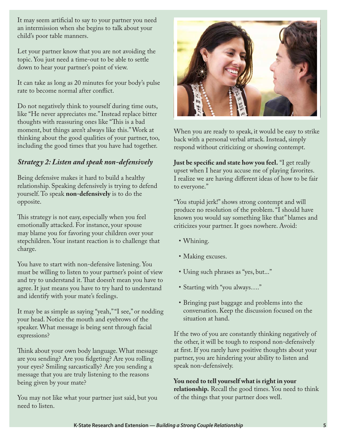It may seem artificial to say to your partner you need an intermission when she begins to talk about your child's poor table manners.

Let your partner know that you are not avoiding the topic. You just need a time-out to be able to settle down to hear your partner's point of view.

It can take as long as 20 minutes for your body's pulse rate to become normal after conflict.

Do not negatively think to yourself during time outs, like "He never appreciates me." Instead replace bitter thoughts with reassuring ones like "This is a bad moment, but things aren't always like this." Work at thinking about the good qualities of your partner, too, including the good times that you have had together.

#### *Strategy 2: Listen and speak non-defensively*

Being defensive makes it hard to build a healthy relationship. Speaking defensively is trying to defend yourself. To speak **non-defensively** is to do the opposite.

This strategy is not easy, especially when you feel emotionally attacked. For instance, your spouse may blame you for favoring your children over your stepchildren. Your instant reaction is to challenge that charge.

You have to start with non-defensive listening. You must be willing to listen to your partner's point of view and try to understand it. That doesn't mean you have to agree. It just means you have to try hard to understand and identify with your mate's feelings.

It may be as simple as saying "yeah," "I see," or nodding your head. Notice the mouth and eyebrows of the speaker. What message is being sent through facial expressions?

Think about your own body language. What message are you sending? Are you fidgeting? Are you rolling your eyes? Smiling sarcastically? Are you sending a message that you are truly listening to the reasons being given by your mate?

You may not like what your partner just said, but you need to listen.



When you are ready to speak, it would be easy to strike back with a personal verbal attack. Instead, simply respond without criticizing or showing contempt.

**Just be specific and state how you feel.** "I get really upset when I hear you accuse me of playing favorites. I realize we are having different ideas of how to be fair to everyone."

"You stupid jerk!" shows strong contempt and will produce no resolution of the problem. "I should have known you would say something like that" blames and criticizes your partner. It goes nowhere. Avoid:

- Whining.
- Making excuses.
- • Using such phrases as "yes, but..."
- Starting with "you always...."
- • Bringing past baggage and problems into the conversation. Keep the discussion focused on the situation at hand.

If the two of you are constantly thinking negatively of the other, it will be tough to respond non-defensively at first. If you rarely have positive thoughts about your partner, you are hindering your ability to listen and speak non-defensively.

#### **You need to tell yourself what is right in your**

**relationship.** Recall the good times. You need to think of the things that your partner does well.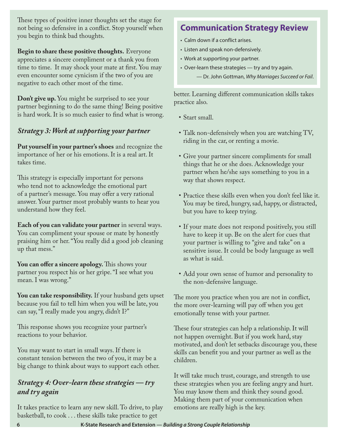These types of positive inner thoughts set the stage for not being so defensive in a conflict. Stop yourself when you begin to think bad thoughts.

**Begin to share these positive thoughts.** Everyone appreciates a sincere compliment or a thank you from time to time. It may shock your mate at first. You may even encounter some cynicism if the two of you are negative to each other most of the time.

**Don't give up.** You might be surprised to see your partner beginning to do the same thing! Being positive is hard work. It is so much easier to find what is wrong.

#### *Strategy 3: Work at supporting your partner*

**Put yourself in your partner's shoes** and recognize the importance of her or his emotions. It is a real art. It takes time.

This strategy is especially important for persons who tend not to acknowledge the emotional part of a partner's message. You may offer a very rational answer. Your partner most probably wants to hear you understand how they feel.

**Each of you can validate your partner** in several ways. You can compliment your spouse or mate by honestly praising him or her. "You really did a good job cleaning up that mess."

**You can offer a sincere apology.** This shows your partner you respect his or her gripe. "I see what you mean. I was wrong."

**You can take responsibility.** If your husband gets upset because you fail to tell him when you will be late, you can say, "I really made you angry, didn't I?"

This response shows you recognize your partner's reactions to your behavior.

You may want to start in small ways. If there is constant tension between the two of you, it may be a big change to think about ways to support each other.

#### *Strategy 4: Over-learn these strategies — try and try again*

It takes practice to learn any new skill. To drive, to play basketball, to cook . . . these skills take practice to get

### **Communication Strategy Review**

- Calm down if a conflict arises.
- Listen and speak non-defensively.
- Work at supporting your partner.
- Over-learn these strategies try and try again.
	- Dr. John Gottman, *Why Marriages Succeed or Fail*.

better. Learning different communication skills takes practice also.

- • Start small.
- • Talk non-defensively when you are watching TV, riding in the car, or renting a movie.
- • Give your partner sincere compliments for small things that he or she does. Acknowledge your partner when he/she says something to you in a way that shows respect.
- • Practice these skills even when you don't feel like it. You may be tired, hungry, sad, happy, or distracted, but you have to keep trying.
- • If your mate does not respond positively, you still have to keep it up. Be on the alert for cues that your partner is willing to "give and take" on a sensitive issue. It could be body language as well as what is said.
- Add your own sense of humor and personality to the non-defensive language.

The more you practice when you are not in conflict, the more over-learning will pay off when you get emotionally tense with your partner.

These four strategies can help a relationship. It will not happen overnight. But if you work hard, stay motivated, and don't let setbacks discourage you, these skills can benefit you and your partner as well as the children.

It will take much trust, courage, and strength to use these strategies when you are feeling angry and hurt. You may know them and think they sound good. Making them part of your communication when emotions are really high is the key.

**6 K-State Research and Extension —** *Building a Strong Couple Relationship*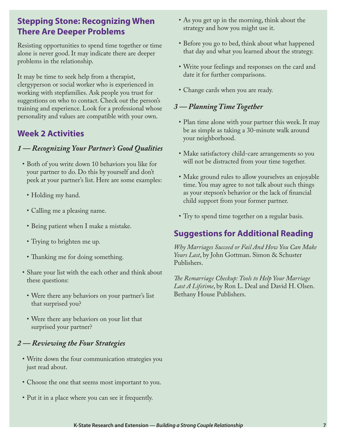#### **Stepping Stone: Recognizing When There Are Deeper Problems**

Resisting opportunities to spend time together or time alone is never good. It may indicate there are deeper problems in the relationship.

It may be time to seek help from a therapist, clergyperson or social worker who is experienced in working with stepfamilies. Ask people you trust for suggestions on who to contact. Check out the person's training and experience. Look for a professional whose personality and values are compatible with your own.

#### **Week 2 Activities**

#### *1 — Recognizing Your Partner's Good Qualities*

- Both of you write down 10 behaviors you like for your partner to do. Do this by yourself and don't peek at your partner's list. Here are some examples:
	- Holding my hand.
	- Calling me a pleasing name.
	- Being patient when I make a mistake.
	- Trying to brighten me up.
	- Thanking me for doing something.
- • Share your list with the each other and think about these questions:
	- Were there any behaviors on your partner's list that surprised you?
	- Were there any behaviors on your list that surprised your partner?

#### *2 — Reviewing the Four Strategies*

- • Write down the four communication strategies you just read about.
- Choose the one that seems most important to you.
- • Put it in a place where you can see it frequently.
- As you get up in the morning, think about the strategy and how you might use it.
- Before you go to bed, think about what happened that day and what you learned about the strategy.
- • Write your feelings and responses on the card and date it for further comparisons.
- Change cards when you are ready.

#### *3 — Planning Time Together*

- Plan time alone with your partner this week. It may be as simple as taking a 30-minute walk around your neighborhood.
- Make satisfactory child-care arrangements so you will not be distracted from your time together.
- Make ground rules to allow yourselves an enjoyable time. You may agree to not talk about such things as your stepson's behavior or the lack of financial child support from your former partner.
- Try to spend time together on a regular basis.

#### **Suggestions for Additional Reading**

*Why Marriages Succeed or Fail And How You Can Make Yours Last*, by John Gottman. Simon & Schuster Publishers.

*The Remarriage Checkup: Tools to Help Your Marriage Last A Lifetime*, by Ron L. Deal and David H. Olsen. Bethany House Publishers.